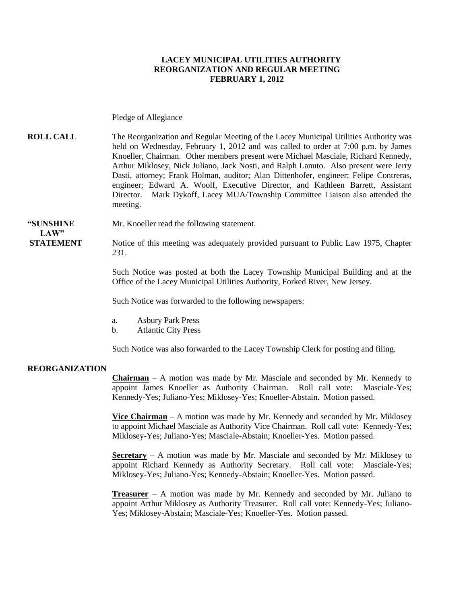### **LACEY MUNICIPAL UTILITIES AUTHORITY REORGANIZATION AND REGULAR MEETING FEBRUARY 1, 2012**

#### Pledge of Allegiance

**ROLL CALL** The Reorganization and Regular Meeting of the Lacey Municipal Utilities Authority was held on Wednesday, February 1, 2012 and was called to order at 7:00 p.m. by James Knoeller, Chairman. Other members present were Michael Masciale, Richard Kennedy, Arthur Miklosey, Nick Juliano, Jack Nosti, and Ralph Lanuto. Also present were Jerry Dasti, attorney; Frank Holman, auditor; Alan Dittenhofer, engineer; Felipe Contreras, engineer; Edward A. Woolf, Executive Director, and Kathleen Barrett, Assistant Director. Mark Dykoff, Lacey MUA/Township Committee Liaison also attended the meeting.

#### **"SUNSHINE** Mr. Knoeller read the following statement.

**STATEMENT** Notice of this meeting was adequately provided pursuant to Public Law 1975, Chapter 231.

> Such Notice was posted at both the Lacey Township Municipal Building and at the Office of the Lacey Municipal Utilities Authority, Forked River, New Jersey.

Such Notice was forwarded to the following newspapers:

- a. Asbury Park Press
- b. Atlantic City Press

Such Notice was also forwarded to the Lacey Township Clerk for posting and filing.

#### **REORGANIZATION**

 $LAW"$ 

**Chairman** – A motion was made by Mr. Masciale and seconded by Mr. Kennedy to appoint James Knoeller as Authority Chairman. Roll call vote: Masciale-Yes; Kennedy-Yes; Juliano-Yes; Miklosey-Yes; Knoeller-Abstain. Motion passed.

**Vice Chairman** – A motion was made by Mr. Kennedy and seconded by Mr. Miklosey to appoint Michael Masciale as Authority Vice Chairman. Roll call vote: Kennedy-Yes; Miklosey-Yes; Juliano-Yes; Masciale-Abstain; Knoeller-Yes. Motion passed.

**Secretary** – A motion was made by Mr. Masciale and seconded by Mr. Miklosey to appoint Richard Kennedy as Authority Secretary. Roll call vote: Masciale-Yes; Miklosey-Yes; Juliano-Yes; Kennedy-Abstain; Knoeller-Yes. Motion passed.

**Treasurer** – A motion was made by Mr. Kennedy and seconded by Mr. Juliano to appoint Arthur Miklosey as Authority Treasurer. Roll call vote: Kennedy-Yes; Juliano-Yes; Miklosey-Abstain; Masciale-Yes; Knoeller-Yes. Motion passed.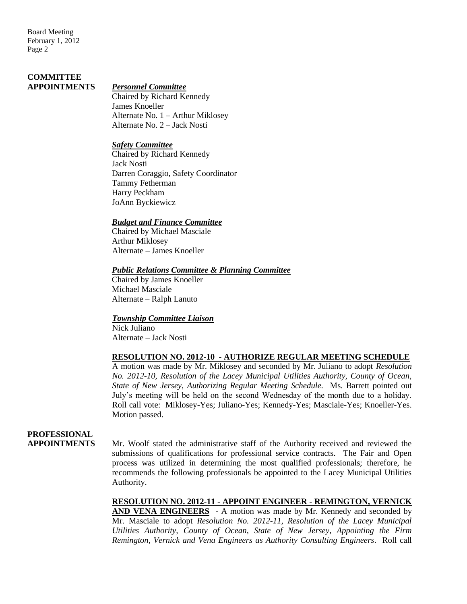Board Meeting February 1, 2012 Page 2

# **COMMITTEE**

#### **APPOINTMENTS** *Personnel Committee*

Chaired by Richard Kennedy James Knoeller Alternate No. 1 – Arthur Miklosey Alternate No. 2 – Jack Nosti

#### *Safety Committee*

Chaired by Richard Kennedy Jack Nosti Darren Coraggio, Safety Coordinator Tammy Fetherman Harry Peckham JoAnn Byckiewicz

### *Budget and Finance Committee*

Chaired by Michael Masciale Arthur Miklosey Alternate – James Knoeller

#### *Public Relations Committee & Planning Committee*

Chaired by James Knoeller Michael Masciale Alternate – Ralph Lanuto

### *Township Committee Liaison*

Nick Juliano Alternate – Jack Nosti

### **RESOLUTION NO. 2012-10 - AUTHORIZE REGULAR MEETING SCHEDULE**

A motion was made by Mr. Miklosey and seconded by Mr. Juliano to adopt *Resolution No. 2012-10, Resolution of the Lacey Municipal Utilities Authority, County of Ocean, State of New Jersey*, *Authorizing Regular Meeting Schedule.* Ms. Barrett pointed out July's meeting will be held on the second Wednesday of the month due to a holiday. Roll call vote: Miklosey-Yes; Juliano-Yes; Kennedy-Yes; Masciale-Yes; Knoeller-Yes. Motion passed.

# **PROFESSIONAL**

**APPOINTMENTS** Mr. Woolf stated the administrative staff of the Authority received and reviewed the submissions of qualifications for professional service contracts. The Fair and Open process was utilized in determining the most qualified professionals; therefore, he recommends the following professionals be appointed to the Lacey Municipal Utilities Authority.

> **RESOLUTION NO. 2012-11 - APPOINT ENGINEER - REMINGTON, VERNICK**  AND VENA ENGINEERS - A motion was made by Mr. Kennedy and seconded by Mr. Masciale to adopt *Resolution No. 2012-11, Resolution of the Lacey Municipal Utilities Authority, County of Ocean, State of New Jersey, Appointing the Firm Remington, Vernick and Vena Engineers as Authority Consulting Engineers*. Roll call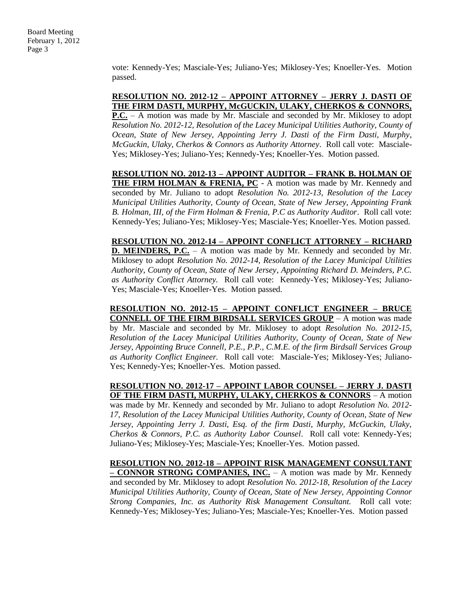vote: Kennedy-Yes; Masciale-Yes; Juliano-Yes; Miklosey-Yes; Knoeller-Yes. Motion passed.

### **RESOLUTION NO. 2012-12 – APPOINT ATTORNEY – JERRY J. DASTI OF THE FIRM DASTI, MURPHY, McGUCKIN, ULAKY, CHERKOS & CONNORS,**

**P.C.** – A motion was made by Mr. Masciale and seconded by Mr. Miklosey to adopt *Resolution No. 2012-12, Resolution of the Lacey Municipal Utilities Authority, County of Ocean, State of New Jersey, Appointing Jerry J. Dasti of the Firm Dasti, Murphy*, *McGuckin, Ulaky, Cherkos & Connors as Authority Attorney*. Roll call vote: Masciale-Yes; Miklosey-Yes; Juliano-Yes; Kennedy-Yes; Knoeller-Yes. Motion passed.

**RESOLUTION NO. 2012-13 – APPOINT AUDITOR – FRANK B. HOLMAN OF THE FIRM HOLMAN & FRENIA, PC** - A motion was made by Mr. Kennedy and seconded by Mr. Juliano to adopt *Resolution No. 2012-13, Resolution of the Lacey Municipal Utilities Authority, County of Ocean, State of New Jersey, Appointing Frank B. Holman, III, of the Firm Holman & Frenia, P.C as Authority Auditor*. Roll call vote: Kennedy-Yes; Juliano-Yes; Miklosey-Yes; Masciale-Yes; Knoeller-Yes. Motion passed.

**RESOLUTION NO. 2012-14 – APPOINT CONFLICT ATTORNEY – RICHARD D. MEINDERS, P.C.** – A motion was made by Mr. Kennedy and seconded by Mr. Miklosey to adopt *Resolution No. 2012-14, Resolution of the Lacey Municipal Utilities Authority, County of Ocean, State of New Jersey*, *Appointing Richard D. Meinders, P.C. as Authority Conflict Attorney.* Roll call vote: Kennedy-Yes; Miklosey-Yes; Juliano-Yes; Masciale-Yes; Knoeller-Yes. Motion passed.

**RESOLUTION NO. 2012-15 – APPOINT CONFLICT ENGINEER – BRUCE CONNELL OF THE FIRM BIRDSALL SERVICES GROUP** – A motion was made by Mr. Masciale and seconded by Mr. Miklosey to adopt *Resolution No. 2012-15, Resolution of the Lacey Municipal Utilities Authority, County of Ocean, State of New Jersey*, *Appointing Bruce Connell, P.E., P.P., C.M.E. of the firm Birdsall Services Group as Authority Conflict Engineer.* Roll call vote: Masciale-Yes; Miklosey-Yes; Juliano-Yes; Kennedy-Yes; Knoeller-Yes. Motion passed.

**RESOLUTION NO. 2012-17 – APPOINT LABOR COUNSEL – JERRY J. DASTI OF THE FIRM DASTI, MURPHY, ULAKY, CHERKOS & CONNORS** – A motion was made by Mr. Kennedy and seconded by Mr. Juliano to adopt *Resolution No. 2012- 17, Resolution of the Lacey Municipal Utilities Authority, County of Ocean, State of New Jersey, Appointing Jerry J. Dasti, Esq. of the firm Dasti, Murphy, McGuckin, Ulaky, Cherkos & Connors, P.C. as Authority Labor Counsel*. Roll call vote: Kennedy-Yes; Juliano-Yes; Miklosey-Yes; Masciale-Yes; Knoeller-Yes. Motion passed.

**RESOLUTION NO. 2012-18 – APPOINT RISK MANAGEMENT CONSULTANT – CONNOR STRONG COMPANIES, INC.** – A motion was made by Mr. Kennedy and seconded by Mr. Miklosey to adopt *Resolution No. 2012-18, Resolution of the Lacey Municipal Utilities Authority, County of Ocean, State of New Jersey, Appointing Connor Strong Companies, Inc. as Authority Risk Management Consultant.* Roll call vote: Kennedy-Yes; Miklosey-Yes; Juliano-Yes; Masciale-Yes; Knoeller-Yes. Motion passed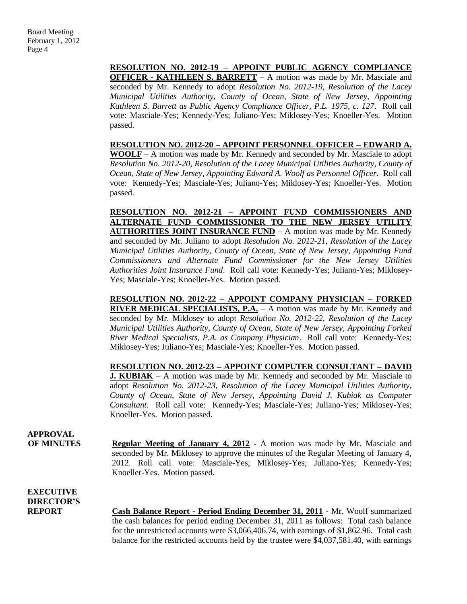**RESOLUTION NO. 2012-19 – APPOINT PUBLIC AGENCY COMPLIANCE OFFICER - KATHLEEN S. BARRETT** – A motion was made by Mr. Masciale and seconded by Mr. Kennedy to adopt *Resolution No. 2012-19, Resolution of the Lacey Municipal Utilities Authority, County of Ocean, State of New Jersey, Appointing Kathleen S. Barrett as Public Agency Compliance Officer, P.L. 1975, c. 127*. Roll call vote: Masciale-Yes; Kennedy-Yes; Juliano-Yes; Miklosey-Yes; Knoeller-Yes. Motion passed.

**RESOLUTION NO. 2012-20 – APPOINT PERSONNEL OFFICER – EDWARD A. WOOLF** – A motion was made by Mr. Kennedy and seconded by Mr. Masciale to adopt *Resolution No. 2012-20, Resolution of the Lacey Municipal Utilities Authority, County of Ocean, State of New Jersey, Appointing Edward A. Woolf as Personnel Officer*. Roll call vote: Kennedy-Yes; Masciale-Yes; Juliano-Yes; Miklosey-Yes; Knoeller-Yes. Motion passed.

**RESOLUTION NO. 2012-21 – APPOINT FUND COMMISSIONERS AND ALTERNATE FUND COMMISSIONER TO THE NEW JERSEY UTILITY AUTHORITIES JOINT INSURANCE FUND** – A motion was made by Mr. Kennedy and seconded by Mr. Juliano to adopt *Resolution No. 2012-21, Resolution of the Lacey Municipal Utilities Authority, County of Ocean, State of New Jersey, Appointing Fund Commissioners and Alternate Fund Commissioner for the New Jersey Utilities Authorities Joint Insurance Fund*. Roll call vote: Kennedy-Yes; Juliano-Yes; Miklosey-Yes; Masciale-Yes; Knoeller-Yes. Motion passed.

**RESOLUTION NO. 2012-22 – APPOINT COMPANY PHYSICIAN – FORKED RIVER MEDICAL SPECIALISTS, P.A.** – A motion was made by Mr. Kennedy and seconded by Mr. Miklosey to adopt *Resolution No. 2012-22, Resolution of the Lacey Municipal Utilities Authority, County of Ocean, State of New Jersey, Appointing Forked River Medical Specialists, P.A. as Company Physician*. Roll call vote: Kennedy-Yes; Miklosey-Yes; Juliano-Yes; Masciale-Yes; Knoeller-Yes. Motion passed.

**RESOLUTION NO. 2012-23 – APPOINT COMPUTER CONSULTANT – DAVID J. KUBIAK** – A motion was made by Mr. Kennedy and seconded by Mr. Masciale to adopt *Resolution No. 2012-23, Resolution of the Lacey Municipal Utilities Authority, County of Ocean, State of New Jersey, Appointing David J. Kubiak as Computer Consultant.* Roll call vote: Kennedy-Yes; Masciale-Yes; Juliano-Yes; Miklosey-Yes; Knoeller-Yes. Motion passed.

**APPROVAL OF MINUTES Regular Meeting of January 4, 2012 -** A motion was made by Mr. Masciale and seconded by Mr. Miklosey to approve the minutes of the Regular Meeting of January 4, 2012. Roll call vote: Masciale-Yes; Miklosey-Yes; Juliano-Yes; Kennedy-Yes; Knoeller-Yes. Motion passed.

**EXECUTIVE DIRECTOR'S**

**REPORT Cash Balance Report - Period Ending December 31, 2011** - Mr. Woolf summarized the cash balances for period ending December 31, 2011 as follows: Total cash balance for the unrestricted accounts were \$3,066,406.74, with earnings of \$1,862.96. Total cash balance for the restricted accounts held by the trustee were \$4,037,581.40, with earnings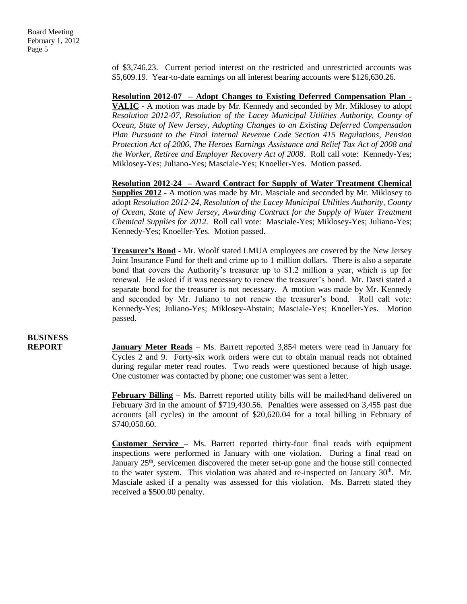of \$3,746.23. Current period interest on the restricted and unrestricted accounts was \$5,609.19. Year-to-date earnings on all interest bearing accounts were \$126,630.26.

**Resolution 2012-07 – Adopt Changes to Existing Deferred Compensation Plan - VALIC** - A motion was made by Mr. Kennedy and seconded by Mr. Miklosey to adopt *Resolution 2012-07, Resolution of the Lacey Municipal Utilities Authority, County of Ocean, State of New Jersey, Adopting Changes to an Existing Deferred Compensation Plan Pursuant to the Final Internal Revenue Code Section 415 Regulations, Pension Protection Act of 2006, The Heroes Earnings Assistance and Relief Tax Act of 2008 and the Worker, Retiree and Employer Recovery Act of 2008.* Roll call vote: Kennedy-Yes; Miklosey-Yes; Juliano-Yes; Masciale-Yes; Knoeller-Yes. Motion passed.

**Resolution 2012-24 – Award Contract for Supply of Water Treatment Chemical Supplies 2012** - A motion was made by Mr. Masciale and seconded by Mr. Miklosey to adopt *Resolution 2012-24, Resolution of the Lacey Municipal Utilities Authority, County of Ocean, State of New Jersey, Awarding Contract for the Supply of Water Treatment Chemical Supplies for 2012.* Roll call vote: Masciale-Yes; Miklosey-Yes; Juliano-Yes; Kennedy-Yes; Knoeller-Yes. Motion passed.

**Treasurer's Bond** - Mr. Woolf stated LMUA employees are covered by the New Jersey Joint Insurance Fund for theft and crime up to 1 million dollars. There is also a separate bond that covers the Authority's treasurer up to \$1.2 million a year, which is up for renewal. He asked if it was necessary to renew the treasurer's bond. Mr. Dasti stated a separate bond for the treasurer is not necessary. A motion was made by Mr. Kennedy and seconded by Mr. Juliano to not renew the treasurer's bond. Roll call vote: Kennedy-Yes; Juliano-Yes; Miklosey-Abstain; Masciale-Yes; Knoeller-Yes. Motion passed.

# **BUSINESS**

**REPORT January Meter Reads** – Ms. Barrett reported 3,854 meters were read in January for Cycles 2 and 9. Forty-six work orders were cut to obtain manual reads not obtained during regular meter read routes. Two reads were questioned because of high usage. One customer was contacted by phone; one customer was sent a letter.

> **February Billing** – Ms. Barrett reported utility bills will be mailed/hand delivered on February 3rd in the amount of \$719,430.56. Penalties were assessed on 3,455 past due accounts (all cycles) in the amount of \$20,620.04 for a total billing in February of \$740,050.60.

> **Customer Service –** Ms. Barrett reported thirty-four final reads with equipment inspections were performed in January with one violation. During a final read on January  $25<sup>th</sup>$ , servicemen discovered the meter set-up gone and the house still connected to the water system. This violation was abated and re-inspected on January  $30<sup>th</sup>$ . Mr. Masciale asked if a penalty was assessed for this violation. Ms. Barrett stated they received a \$500.00 penalty.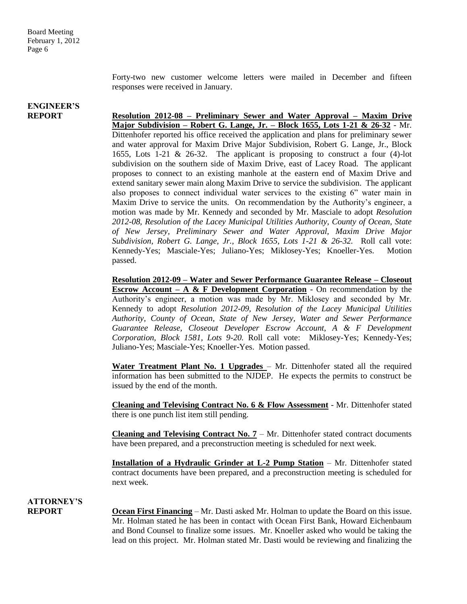Forty-two new customer welcome letters were mailed in December and fifteen responses were received in January.

# **ENGINEER'S**

**REPORT Resolution 2012-08 – Preliminary Sewer and Water Approval – Maxim Drive Major Subdivision – Robert G. Lange, Jr. – Block 1655, Lots 1-21 & 26-32** - Mr. Dittenhofer reported his office received the application and plans for preliminary sewer and water approval for Maxim Drive Major Subdivision, Robert G. Lange, Jr., Block 1655, Lots 1-21 & 26-32. The applicant is proposing to construct a four (4)-lot subdivision on the southern side of Maxim Drive, east of Lacey Road. The applicant proposes to connect to an existing manhole at the eastern end of Maxim Drive and extend sanitary sewer main along Maxim Drive to service the subdivision. The applicant also proposes to connect individual water services to the existing 6" water main in Maxim Drive to service the units. On recommendation by the Authority's engineer, a motion was made by Mr. Kennedy and seconded by Mr. Masciale to adopt *Resolution 2012-08, Resolution of the Lacey Municipal Utilities Authority, County of Ocean, State of New Jersey, Preliminary Sewer and Water Approval, Maxim Drive Major Subdivision, Robert G. Lange, Jr., Block 1655, Lots 1-21 & 26-32.* Roll call vote: Kennedy-Yes; Masciale-Yes; Juliano-Yes; Miklosey-Yes; Knoeller-Yes. Motion passed.

> **Resolution 2012-09 – Water and Sewer Performance Guarantee Release – Closeout Escrow Account – A & F Development Corporation** - On recommendation by the Authority's engineer, a motion was made by Mr. Miklosey and seconded by Mr. Kennedy to adopt *Resolution 2012-09, Resolution of the Lacey Municipal Utilities Authority, County of Ocean, State of New Jersey, Water and Sewer Performance Guarantee Release, Closeout Developer Escrow Account, A & F Development Corporation, Block 1581, Lots 9-20.* Roll call vote: Miklosey-Yes; Kennedy-Yes; Juliano-Yes; Masciale-Yes; Knoeller-Yes. Motion passed.

> **Water Treatment Plant No. 1 Upgrades** – Mr. Dittenhofer stated all the required information has been submitted to the NJDEP. He expects the permits to construct be issued by the end of the month.

> **Cleaning and Televising Contract No. 6 & Flow Assessment** - Mr. Dittenhofer stated there is one punch list item still pending.

> **Cleaning and Televising Contract No. 7** – Mr. Dittenhofer stated contract documents have been prepared, and a preconstruction meeting is scheduled for next week.

> **Installation of a Hydraulic Grinder at L-2 Pump Station** – Mr. Dittenhofer stated contract documents have been prepared, and a preconstruction meeting is scheduled for next week.

**ATTORNEY'S**

**REPORT Ocean First Financing** – Mr. Dasti asked Mr. Holman to update the Board on this issue. Mr. Holman stated he has been in contact with Ocean First Bank, Howard Eichenbaum and Bond Counsel to finalize some issues. Mr. Knoeller asked who would be taking the lead on this project. Mr. Holman stated Mr. Dasti would be reviewing and finalizing the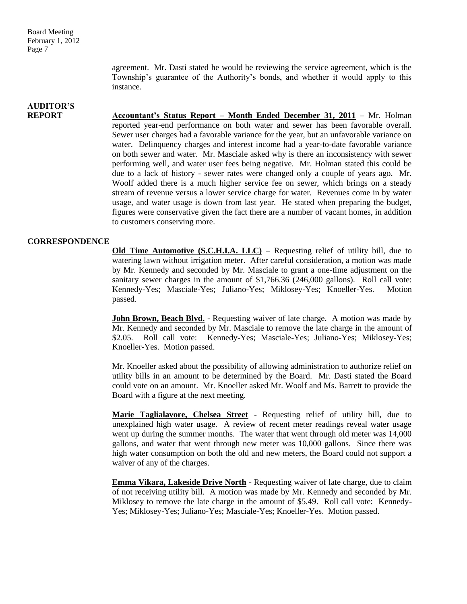Board Meeting February 1, 2012 Page 7

> agreement. Mr. Dasti stated he would be reviewing the service agreement, which is the Township's guarantee of the Authority's bonds, and whether it would apply to this instance.

# **AUDITOR'S**

**REPORT Accountant's Status Report – Month Ended December 31, 2011** – Mr. Holman reported year-end performance on both water and sewer has been favorable overall. Sewer user charges had a favorable variance for the year, but an unfavorable variance on water. Delinquency charges and interest income had a year-to-date favorable variance on both sewer and water. Mr. Masciale asked why is there an inconsistency with sewer performing well, and water user fees being negative. Mr. Holman stated this could be due to a lack of history - sewer rates were changed only a couple of years ago. Mr. Woolf added there is a much higher service fee on sewer, which brings on a steady stream of revenue versus a lower service charge for water. Revenues come in by water usage, and water usage is down from last year. He stated when preparing the budget, figures were conservative given the fact there are a number of vacant homes, in addition to customers conserving more.

### **CORRESPONDENCE**

**Old Time Automotive (S.C.H.I.A. LLC)** – Requesting relief of utility bill, due to watering lawn without irrigation meter. After careful consideration, a motion was made by Mr. Kennedy and seconded by Mr. Masciale to grant a one-time adjustment on the sanitary sewer charges in the amount of \$1,766.36 (246,000 gallons). Roll call vote: Kennedy-Yes; Masciale-Yes; Juliano-Yes; Miklosey-Yes; Knoeller-Yes. Motion passed.

**John Brown, Beach Blvd.** - Requesting waiver of late charge. A motion was made by Mr. Kennedy and seconded by Mr. Masciale to remove the late charge in the amount of \$2.05. Roll call vote: Kennedy-Yes; Masciale-Yes; Juliano-Yes; Miklosey-Yes; Knoeller-Yes. Motion passed.

Mr. Knoeller asked about the possibility of allowing administration to authorize relief on utility bills in an amount to be determined by the Board. Mr. Dasti stated the Board could vote on an amount. Mr. Knoeller asked Mr. Woolf and Ms. Barrett to provide the Board with a figure at the next meeting.

**Marie Taglialavore, Chelsea Street** - Requesting relief of utility bill, due to unexplained high water usage. A review of recent meter readings reveal water usage went up during the summer months. The water that went through old meter was 14,000 gallons, and water that went through new meter was 10,000 gallons. Since there was high water consumption on both the old and new meters, the Board could not support a waiver of any of the charges.

**Emma Vikara, Lakeside Drive North** - Requesting waiver of late charge, due to claim of not receiving utility bill. A motion was made by Mr. Kennedy and seconded by Mr. Miklosey to remove the late charge in the amount of \$5.49. Roll call vote: Kennedy-Yes; Miklosey-Yes; Juliano-Yes; Masciale-Yes; Knoeller-Yes. Motion passed.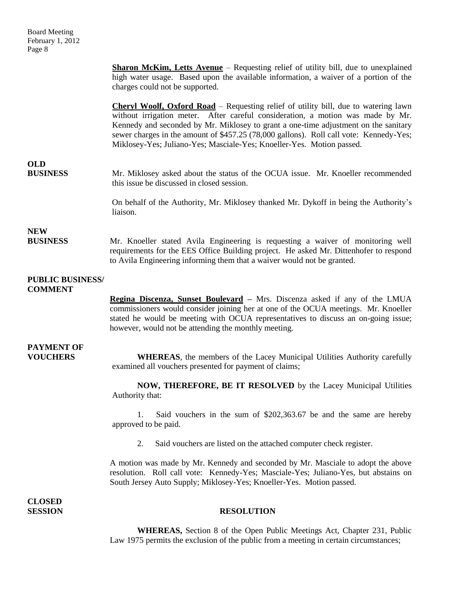**Sharon McKim, Letts Avenue** – Requesting relief of utility bill, due to unexplained high water usage. Based upon the available information, a waiver of a portion of the charges could not be supported. **Cheryl Woolf, Oxford Road** – Requesting relief of utility bill, due to watering lawn

without irrigation meter. After careful consideration, a motion was made by Mr. Kennedy and seconded by Mr. Miklosey to grant a one-time adjustment on the sanitary sewer charges in the amount of \$457.25 (78,000 gallons). Roll call vote: Kennedy-Yes; Miklosey-Yes; Juliano-Yes; Masciale-Yes; Knoeller-Yes. Motion passed.

# **OLD**

**BUSINESS** Mr. Miklosey asked about the status of the OCUA issue. Mr. Knoeller recommended this issue be discussed in closed session.

> On behalf of the Authority, Mr. Miklosey thanked Mr. Dykoff in being the Authority's liaison.

## **NEW**

**BUSINESS** Mr. Knoeller stated Avila Engineering is requesting a waiver of monitoring well requirements for the EES Office Building project. He asked Mr. Dittenhofer to respond to Avila Engineering informing them that a waiver would not be granted.

#### **PUBLIC BUSINESS/ COMMENT**

**Regina Discenza, Sunset Boulevard –** Mrs. Discenza asked if any of the LMUA commissioners would consider joining her at one of the OCUA meetings. Mr. Knoeller stated he would be meeting with OCUA representatives to discuss an on-going issue; however, would not be attending the monthly meeting.

# **PAYMENT OF**

**VOUCHERS WHEREAS**, the members of the Lacey Municipal Utilities Authority carefully examined all vouchers presented for payment of claims;

> **NOW, THEREFORE, BE IT RESOLVED** by the Lacey Municipal Utilities Authority that:

> 1. Said vouchers in the sum of \$202,363.67 be and the same are hereby approved to be paid.

2. Said vouchers are listed on the attached computer check register.

A motion was made by Mr. Kennedy and seconded by Mr. Masciale to adopt the above resolution. Roll call vote: Kennedy-Yes; Masciale-Yes; Juliano-Yes, but abstains on South Jersey Auto Supply; Miklosey-Yes; Knoeller-Yes. Motion passed.

**CLOSED** 

## **SESSION RESOLUTION**

**WHEREAS,** Section 8 of the Open Public Meetings Act, Chapter 231, Public Law 1975 permits the exclusion of the public from a meeting in certain circumstances;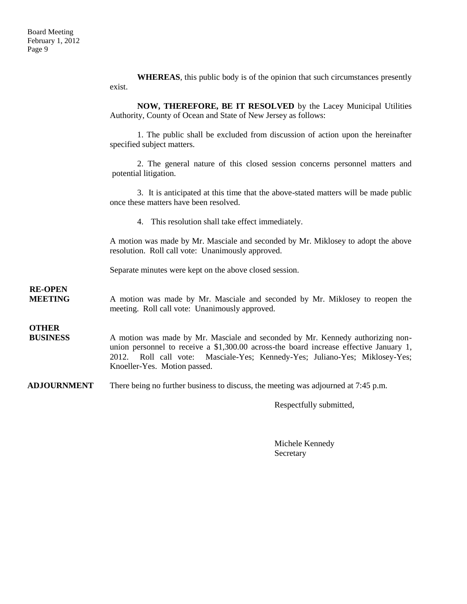**WHEREAS**, this public body is of the opinion that such circumstances presently exist.

**NOW, THEREFORE, BE IT RESOLVED** by the Lacey Municipal Utilities Authority, County of Ocean and State of New Jersey as follows:

1. The public shall be excluded from discussion of action upon the hereinafter specified subject matters.

2. The general nature of this closed session concerns personnel matters and potential litigation.

3. It is anticipated at this time that the above-stated matters will be made public once these matters have been resolved.

4. This resolution shall take effect immediately.

A motion was made by Mr. Masciale and seconded by Mr. Miklosey to adopt the above resolution. Roll call vote: Unanimously approved.

Separate minutes were kept on the above closed session.

**MEETING** A motion was made by Mr. Masciale and seconded by Mr. Miklosey to reopen the meeting. Roll call vote: Unanimously approved.

**OTHER**

**RE-OPEN**

**BUSINESS** A motion was made by Mr. Masciale and seconded by Mr. Kennedy authorizing nonunion personnel to receive a \$1,300.00 across-the board increase effective January 1, 2012. Roll call vote: Masciale-Yes; Kennedy-Yes; Juliano-Yes; Miklosey-Yes; Knoeller-Yes. Motion passed.

**ADJOURNMENT** There being no further business to discuss, the meeting was adjourned at 7:45 p.m.

Respectfully submitted,

Michele Kennedy Secretary